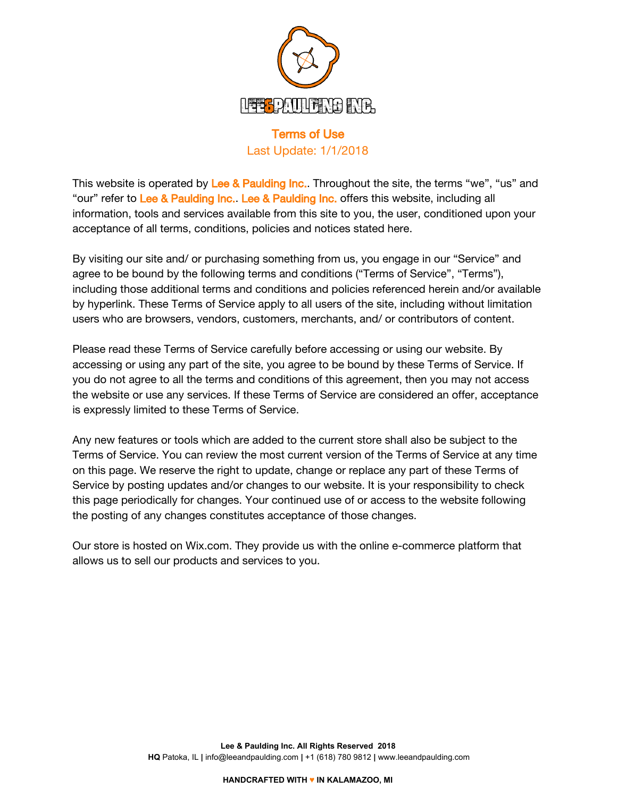

# Terms of Use Last Update: 1/1/2018

This website is operated by Lee & Paulding Inc.. Throughout the site, the terms "we", "us" and "our" refer to Lee & Paulding Inc. Lee & Paulding Inc. offers this website, including all information, tools and services available from this site to you, the user, conditioned upon your acceptance of all terms, conditions, policies and notices stated here.

By visiting our site and/ or purchasing something from us, you engage in our "Service" and agree to be bound by the following terms and conditions ("Terms of Service", "Terms"), including those additional terms and conditions and policies referenced herein and/or available by hyperlink. These Terms of Service apply to all users of the site, including without limitation users who are browsers, vendors, customers, merchants, and/ or contributors of content.

Please read these Terms of Service carefully before accessing or using our website. By accessing or using any part of the site, you agree to be bound by these Terms of Service. If you do not agree to all the terms and conditions of this agreement, then you may not access the website or use any services. If these Terms of Service are considered an offer, acceptance is expressly limited to these Terms of Service.

Any new features or tools which are added to the current store shall also be subject to the Terms of Service. You can review the most current version of the Terms of Service at any time on this page. We reserve the right to update, change or replace any part of these Terms of Service by posting updates and/or changes to our website. It is your responsibility to check this page periodically for changes. Your continued use of or access to the website following the posting of any changes constitutes acceptance of those changes.

Our store is hosted on Wix.com. They provide us with the online e-commerce platform that allows us to sell our products and services to you.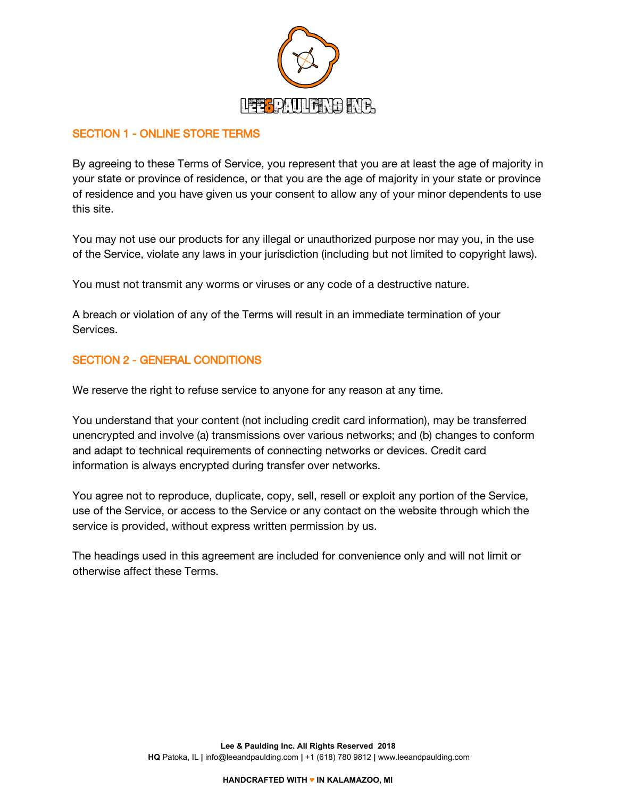

# SECTION 1 - ONLINE STORE TERMS

By agreeing to these Terms of Service, you represent that you are at least the age of majority in your state or province of residence, or that you are the age of majority in your state or province of residence and you have given us your consent to allow any of your minor dependents to use this site.

You may not use our products for any illegal or unauthorized purpose nor may you, in the use of the Service, violate any laws in your jurisdiction (including but not limited to copyright laws).

You must not transmit any worms or viruses or any code of a destructive nature.

A breach or violation of any of the Terms will result in an immediate termination of your Services.

#### SECTION 2 - GENERAL CONDITIONS

We reserve the right to refuse service to anyone for any reason at any time.

You understand that your content (not including credit card information), may be transferred unencrypted and involve (a) transmissions over various networks; and (b) changes to conform and adapt to technical requirements of connecting networks or devices. Credit card information is always encrypted during transfer over networks.

You agree not to reproduce, duplicate, copy, sell, resell or exploit any portion of the Service, use of the Service, or access to the Service or any contact on the website through which the service is provided, without express written permission by us.

The headings used in this agreement are included for convenience only and will not limit or otherwise affect these Terms.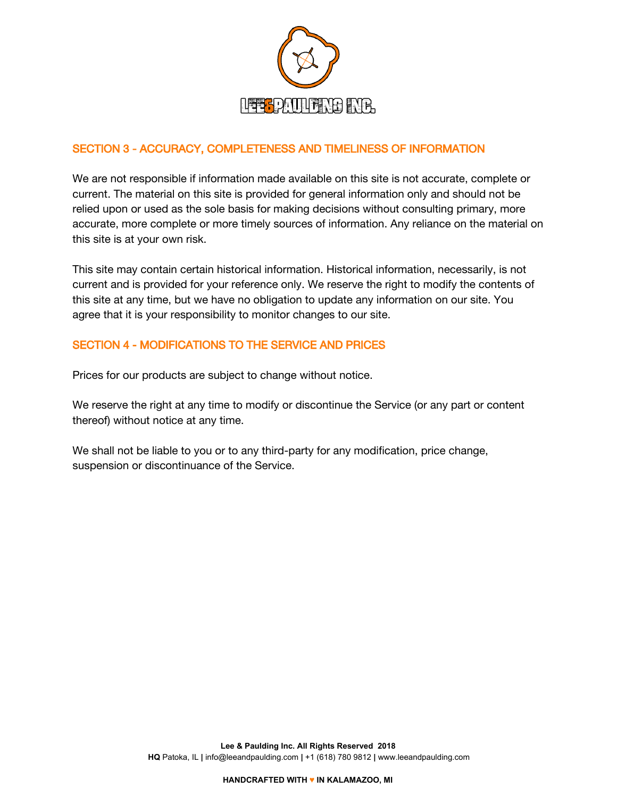

# SECTION 3 - ACCURACY, COMPLETENESS AND TIMELINESS OF INFORMATION

We are not responsible if information made available on this site is not accurate, complete or current. The material on this site is provided for general information only and should not be relied upon or used as the sole basis for making decisions without consulting primary, more accurate, more complete or more timely sources of information. Any reliance on the material on this site is at your own risk.

This site may contain certain historical information. Historical information, necessarily, is not current and is provided for your reference only. We reserve the right to modify the contents of this site at any time, but we have no obligation to update any information on our site. You agree that it is your responsibility to monitor changes to our site.

# SECTION 4 - MODIFICATIONS TO THE SERVICE AND PRICES

Prices for our products are subject to change without notice.

We reserve the right at any time to modify or discontinue the Service (or any part or content thereof) without notice at any time.

We shall not be liable to you or to any third-party for any modification, price change, suspension or discontinuance of the Service.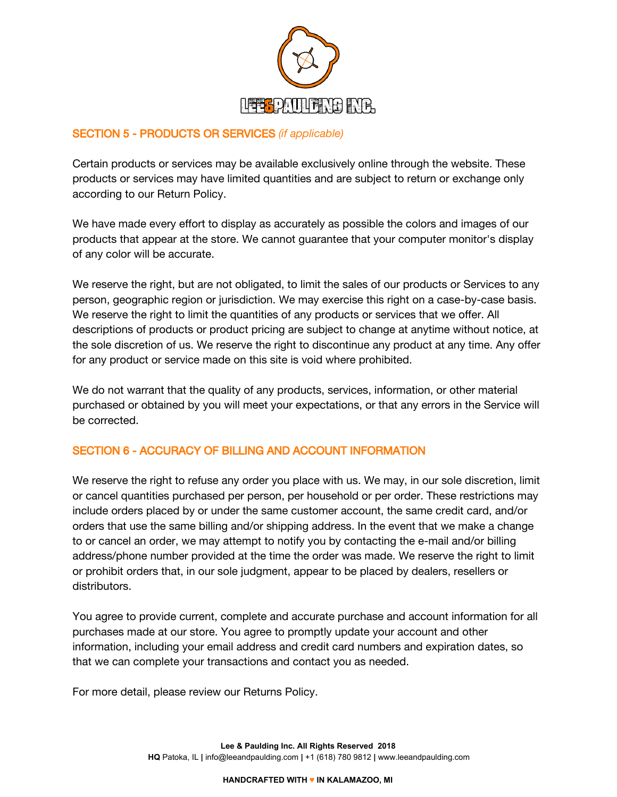

# SECTION 5 - PRODUCTS OR SERVICES *(if applicable)*

Certain products or services may be available exclusively online through the website. These products or services may have limited quantities and are subject to return or exchange only according to our Return Policy.

We have made every effort to display as accurately as possible the colors and images of our products that appear at the store. We cannot guarantee that your computer monitor's display of any color will be accurate.

We reserve the right, but are not obligated, to limit the sales of our products or Services to any person, geographic region or jurisdiction. We may exercise this right on a case-by-case basis. We reserve the right to limit the quantities of any products or services that we offer. All descriptions of products or product pricing are subject to change at anytime without notice, at the sole discretion of us. We reserve the right to discontinue any product at any time. Any offer for any product or service made on this site is void where prohibited.

We do not warrant that the quality of any products, services, information, or other material purchased or obtained by you will meet your expectations, or that any errors in the Service will be corrected.

#### SECTION 6 - ACCURACY OF BILLING AND ACCOUNT INFORMATION

We reserve the right to refuse any order you place with us. We may, in our sole discretion, limit or cancel quantities purchased per person, per household or per order. These restrictions may include orders placed by or under the same customer account, the same credit card, and/or orders that use the same billing and/or shipping address. In the event that we make a change to or cancel an order, we may attempt to notify you by contacting the e-mail and/or billing address/phone number provided at the time the order was made. We reserve the right to limit or prohibit orders that, in our sole judgment, appear to be placed by dealers, resellers or distributors.

You agree to provide current, complete and accurate purchase and account information for all purchases made at our store. You agree to promptly update your account and other information, including your email address and credit card numbers and expiration dates, so that we can complete your transactions and contact you as needed.

For more detail, please review our Returns Policy.